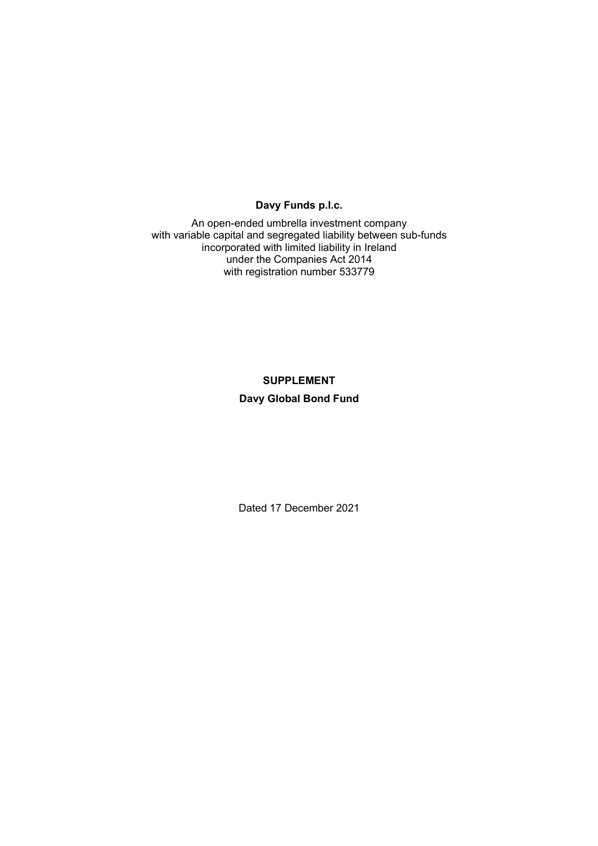# **Davy Funds p.l.c.**

An open-ended umbrella investment company with variable capital and segregated liability between sub-funds incorporated with limited liability in Ireland under the Companies Act 2014 with registration number 533779

# **SUPPLEMENT Davy Global Bond Fund**

Dated 17 December 2021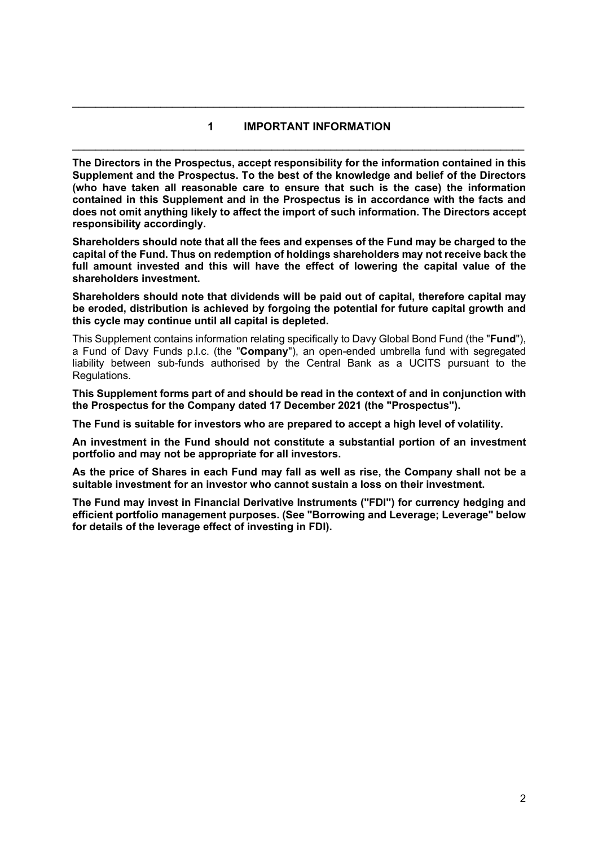# **1 IMPORTANT INFORMATION**  \_\_\_\_\_\_\_\_\_\_\_\_\_\_\_\_\_\_\_\_\_\_\_\_\_\_\_\_\_\_\_\_\_\_\_\_\_\_\_\_\_\_\_\_\_\_\_\_\_\_\_\_\_\_\_\_\_\_\_\_\_\_\_\_\_\_\_\_\_\_\_\_\_\_\_\_\_

**The Directors in the Prospectus, accept responsibility for the information contained in this Supplement and the Prospectus. To the best of the knowledge and belief of the Directors (who have taken all reasonable care to ensure that such is the case) the information contained in this Supplement and in the Prospectus is in accordance with the facts and does not omit anything likely to affect the import of such information. The Directors accept responsibility accordingly.** 

**Shareholders should note that all the fees and expenses of the Fund may be charged to the capital of the Fund. Thus on redemption of holdings shareholders may not receive back the full amount invested and this will have the effect of lowering the capital value of the shareholders investment.** 

**Shareholders should note that dividends will be paid out of capital, therefore capital may be eroded, distribution is achieved by forgoing the potential for future capital growth and this cycle may continue until all capital is depleted.** 

This Supplement contains information relating specifically to Davy Global Bond Fund (the "**Fund**"), a Fund of Davy Funds p.l.c. (the "**Company**"), an open-ended umbrella fund with segregated liability between sub-funds authorised by the Central Bank as a UCITS pursuant to the Regulations.

**This Supplement forms part of and should be read in the context of and in conjunction with the Prospectus for the Company dated 17 December 2021 (the "Prospectus").** 

**The Fund is suitable for investors who are prepared to accept a high level of volatility.** 

**An investment in the Fund should not constitute a substantial portion of an investment portfolio and may not be appropriate for all investors.** 

**As the price of Shares in each Fund may fall as well as rise, the Company shall not be a suitable investment for an investor who cannot sustain a loss on their investment.** 

**The Fund may invest in Financial Derivative Instruments ("FDI") for currency hedging and efficient portfolio management purposes. (See "Borrowing and Leverage; Leverage" below for details of the leverage effect of investing in FDI).**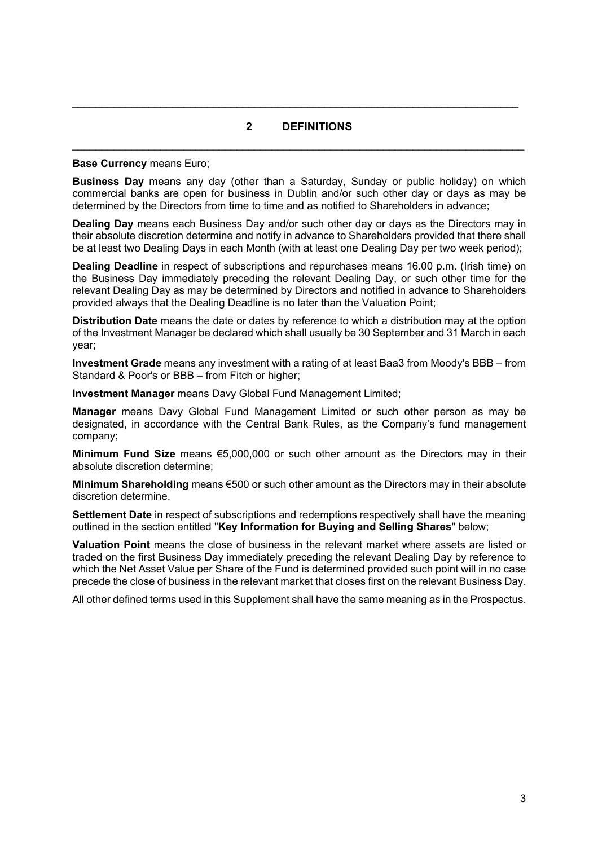# **2 DEFINITIONS**  \_\_\_\_\_\_\_\_\_\_\_\_\_\_\_\_\_\_\_\_\_\_\_\_\_\_\_\_\_\_\_\_\_\_\_\_\_\_\_\_\_\_\_\_\_\_\_\_\_\_\_\_\_\_\_\_\_\_\_\_\_\_\_\_\_\_\_\_\_\_\_\_\_\_\_\_\_

#### **Base Currency** means Euro;

**Business Day** means any day (other than a Saturday, Sunday or public holiday) on which commercial banks are open for business in Dublin and/or such other day or days as may be determined by the Directors from time to time and as notified to Shareholders in advance;

**Dealing Day** means each Business Day and/or such other day or days as the Directors may in their absolute discretion determine and notify in advance to Shareholders provided that there shall be at least two Dealing Days in each Month (with at least one Dealing Day per two week period);

**Dealing Deadline** in respect of subscriptions and repurchases means 16.00 p.m. (Irish time) on the Business Day immediately preceding the relevant Dealing Day, or such other time for the relevant Dealing Day as may be determined by Directors and notified in advance to Shareholders provided always that the Dealing Deadline is no later than the Valuation Point;

**Distribution Date** means the date or dates by reference to which a distribution may at the option of the Investment Manager be declared which shall usually be 30 September and 31 March in each year;

**Investment Grade** means any investment with a rating of at least Baa3 from Moody's BBB – from Standard & Poor's or BBB – from Fitch or higher;

**Investment Manager** means Davy Global Fund Management Limited;

**Manager** means Davy Global Fund Management Limited or such other person as may be designated, in accordance with the Central Bank Rules, as the Company's fund management company;

**Minimum Fund Size** means €5,000,000 or such other amount as the Directors may in their absolute discretion determine;

**Minimum Shareholding** means €500 or such other amount as the Directors may in their absolute discretion determine.

**Settlement Date** in respect of subscriptions and redemptions respectively shall have the meaning outlined in the section entitled "**Key Information for Buying and Selling Shares**" below;

**Valuation Point** means the close of business in the relevant market where assets are listed or traded on the first Business Day immediately preceding the relevant Dealing Day by reference to which the Net Asset Value per Share of the Fund is determined provided such point will in no case precede the close of business in the relevant market that closes first on the relevant Business Day.

All other defined terms used in this Supplement shall have the same meaning as in the Prospectus.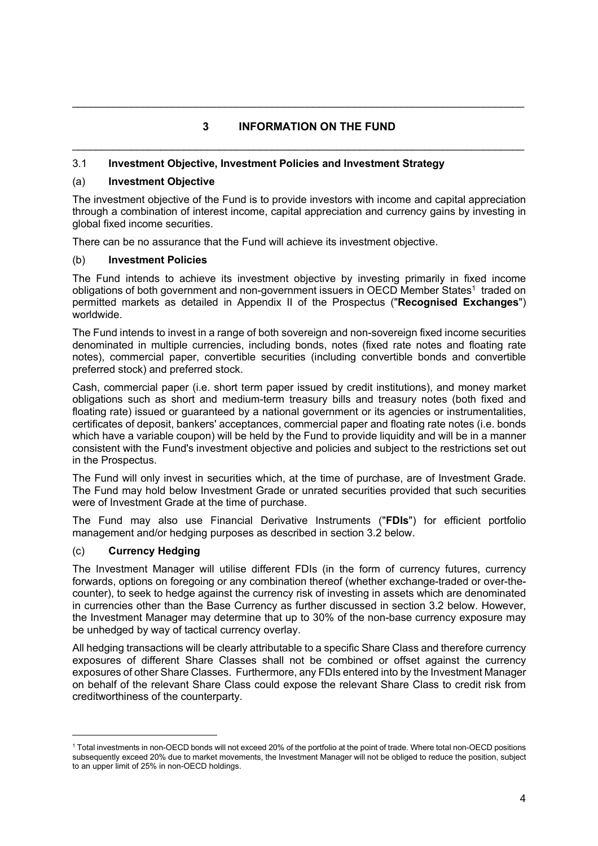# **3 INFORMATION ON THE FUND**  \_\_\_\_\_\_\_\_\_\_\_\_\_\_\_\_\_\_\_\_\_\_\_\_\_\_\_\_\_\_\_\_\_\_\_\_\_\_\_\_\_\_\_\_\_\_\_\_\_\_\_\_\_\_\_\_\_\_\_\_\_\_\_\_\_\_\_\_\_\_\_\_\_\_\_\_\_

# 3.1 **Investment Objective, Investment Policies and Investment Strategy**

# (a) **Investment Objective**

The investment objective of the Fund is to provide investors with income and capital appreciation through a combination of interest income, capital appreciation and currency gains by investing in global fixed income securities.

There can be no assurance that the Fund will achieve its investment objective.

## (b) **Investment Policies**

The Fund intends to achieve its investment objective by investing primarily in fixed income obligations of both government and non-government issuers in OECD Member States<sup>1</sup> traded on permitted markets as detailed in Appendix II of the Prospectus ("**Recognised Exchanges**") worldwide.

The Fund intends to invest in a range of both sovereign and non-sovereign fixed income securities denominated in multiple currencies, including bonds, notes (fixed rate notes and floating rate notes), commercial paper, convertible securities (including convertible bonds and convertible preferred stock) and preferred stock.

Cash, commercial paper (i.e. short term paper issued by credit institutions), and money market obligations such as short and medium-term treasury bills and treasury notes (both fixed and floating rate) issued or guaranteed by a national government or its agencies or instrumentalities, certificates of deposit, bankers' acceptances, commercial paper and floating rate notes (i.e. bonds which have a variable coupon) will be held by the Fund to provide liquidity and will be in a manner consistent with the Fund's investment objective and policies and subject to the restrictions set out in the Prospectus.

The Fund will only invest in securities which, at the time of purchase, are of Investment Grade. The Fund may hold below Investment Grade or unrated securities provided that such securities were of Investment Grade at the time of purchase.

The Fund may also use Financial Derivative Instruments ("**FDIs**") for efficient portfolio management and/or hedging purposes as described in section 3.2 below.

# (c) **Currency Hedging**

The Investment Manager will utilise different FDIs (in the form of currency futures, currency forwards, options on foregoing or any combination thereof (whether exchange-traded or over-thecounter), to seek to hedge against the currency risk of investing in assets which are denominated in currencies other than the Base Currency as further discussed in section 3.2 below. However, the Investment Manager may determine that up to 30% of the non-base currency exposure may be unhedged by way of tactical currency overlay.

All hedging transactions will be clearly attributable to a specific Share Class and therefore currency exposures of different Share Classes shall not be combined or offset against the currency exposures of other Share Classes. Furthermore, any FDIs entered into by the Investment Manager on behalf of the relevant Share Class could expose the relevant Share Class to credit risk from creditworthiness of the counterparty.

<sup>1</sup> Total investments in non-OECD bonds will not exceed 20% of the portfolio at the point of trade. Where total non-OECD positions subsequently exceed 20% due to market movements, the Investment Manager will not be obliged to reduce the position, subject to an upper limit of 25% in non-OECD holdings.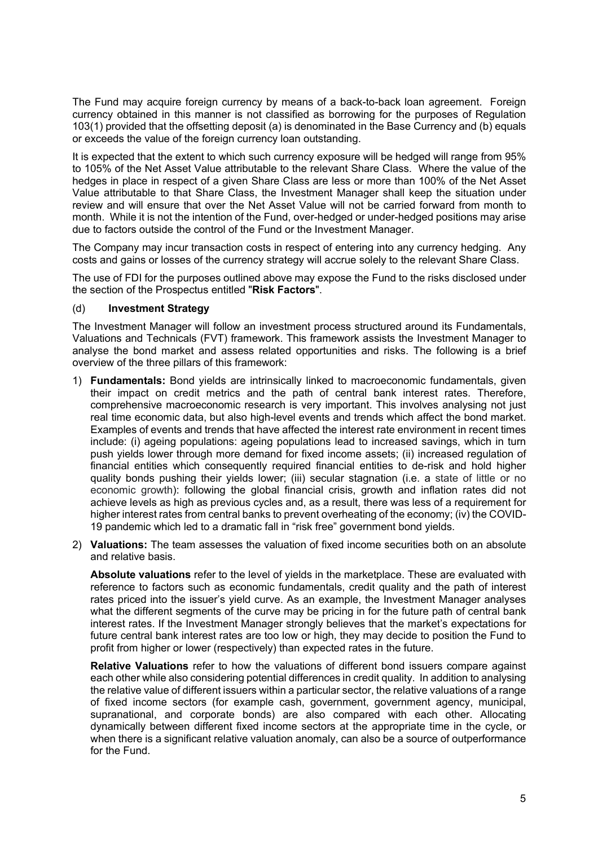The Fund may acquire foreign currency by means of a back-to-back loan agreement. Foreign currency obtained in this manner is not classified as borrowing for the purposes of Regulation 103(1) provided that the offsetting deposit (a) is denominated in the Base Currency and (b) equals or exceeds the value of the foreign currency loan outstanding.

It is expected that the extent to which such currency exposure will be hedged will range from 95% to 105% of the Net Asset Value attributable to the relevant Share Class. Where the value of the hedges in place in respect of a given Share Class are less or more than 100% of the Net Asset Value attributable to that Share Class, the Investment Manager shall keep the situation under review and will ensure that over the Net Asset Value will not be carried forward from month to month. While it is not the intention of the Fund, over-hedged or under-hedged positions may arise due to factors outside the control of the Fund or the Investment Manager.

The Company may incur transaction costs in respect of entering into any currency hedging. Any costs and gains or losses of the currency strategy will accrue solely to the relevant Share Class.

The use of FDI for the purposes outlined above may expose the Fund to the risks disclosed under the section of the Prospectus entitled "**Risk Factors**".

### (d) **Investment Strategy**

The Investment Manager will follow an investment process structured around its Fundamentals, Valuations and Technicals (FVT) framework. This framework assists the Investment Manager to analyse the bond market and assess related opportunities and risks. The following is a brief overview of the three pillars of this framework:

- 1) **Fundamentals:** Bond yields are intrinsically linked to macroeconomic fundamentals, given their impact on credit metrics and the path of central bank interest rates. Therefore, comprehensive macroeconomic research is very important. This involves analysing not just real time economic data, but also high-level events and trends which affect the bond market. Examples of events and trends that have affected the interest rate environment in recent times include: (i) ageing populations: ageing populations lead to increased savings, which in turn push yields lower through more demand for fixed income assets; (ii) increased regulation of financial entities which consequently required financial entities to de-risk and hold higher quality bonds pushing their yields lower; (iii) secular stagnation (i.e. a state of little or no economic growth): following the global financial crisis, growth and inflation rates did not achieve levels as high as previous cycles and, as a result, there was less of a requirement for higher interest rates from central banks to prevent overheating of the economy; (iv) the COVID-19 pandemic which led to a dramatic fall in "risk free" government bond yields.
- 2) **Valuations:** The team assesses the valuation of fixed income securities both on an absolute and relative basis.

**Absolute valuations** refer to the level of yields in the marketplace. These are evaluated with reference to factors such as economic fundamentals, credit quality and the path of interest rates priced into the issuer's yield curve. As an example, the Investment Manager analyses what the different segments of the curve may be pricing in for the future path of central bank interest rates. If the Investment Manager strongly believes that the market's expectations for future central bank interest rates are too low or high, they may decide to position the Fund to profit from higher or lower (respectively) than expected rates in the future.

**Relative Valuations** refer to how the valuations of different bond issuers compare against each other while also considering potential differences in credit quality. In addition to analysing the relative value of different issuers within a particular sector, the relative valuations of a range of fixed income sectors (for example cash, government, government agency, municipal, supranational, and corporate bonds) are also compared with each other. Allocating dynamically between different fixed income sectors at the appropriate time in the cycle, or when there is a significant relative valuation anomaly, can also be a source of outperformance for the Fund.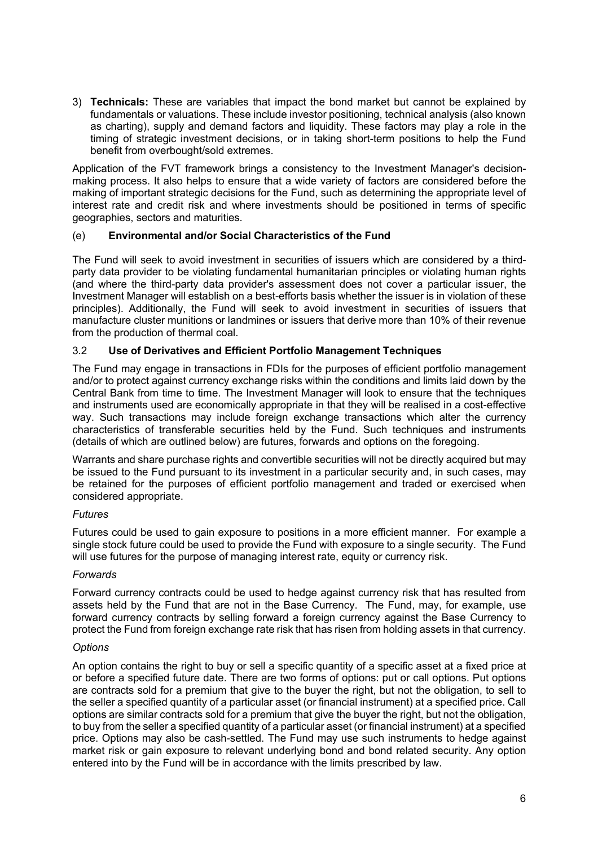3) **Technicals:** These are variables that impact the bond market but cannot be explained by fundamentals or valuations. These include investor positioning, technical analysis (also known as charting), supply and demand factors and liquidity. These factors may play a role in the timing of strategic investment decisions, or in taking short-term positions to help the Fund benefit from overbought/sold extremes.

Application of the FVT framework brings a consistency to the Investment Manager's decisionmaking process. It also helps to ensure that a wide variety of factors are considered before the making of important strategic decisions for the Fund, such as determining the appropriate level of interest rate and credit risk and where investments should be positioned in terms of specific geographies, sectors and maturities.

# (e) **Environmental and/or Social Characteristics of the Fund**

The Fund will seek to avoid investment in securities of issuers which are considered by a thirdparty data provider to be violating fundamental humanitarian principles or violating human rights (and where the third-party data provider's assessment does not cover a particular issuer, the Investment Manager will establish on a best-efforts basis whether the issuer is in violation of these principles). Additionally, the Fund will seek to avoid investment in securities of issuers that manufacture cluster munitions or landmines or issuers that derive more than 10% of their revenue from the production of thermal coal.

## 3.2 **Use of Derivatives and Efficient Portfolio Management Techniques**

The Fund may engage in transactions in FDIs for the purposes of efficient portfolio management and/or to protect against currency exchange risks within the conditions and limits laid down by the Central Bank from time to time. The Investment Manager will look to ensure that the techniques and instruments used are economically appropriate in that they will be realised in a cost-effective way. Such transactions may include foreign exchange transactions which alter the currency characteristics of transferable securities held by the Fund. Such techniques and instruments (details of which are outlined below) are futures, forwards and options on the foregoing.

Warrants and share purchase rights and convertible securities will not be directly acquired but may be issued to the Fund pursuant to its investment in a particular security and, in such cases, may be retained for the purposes of efficient portfolio management and traded or exercised when considered appropriate.

### *Futures*

Futures could be used to gain exposure to positions in a more efficient manner. For example a single stock future could be used to provide the Fund with exposure to a single security. The Fund will use futures for the purpose of managing interest rate, equity or currency risk.

### *Forwards*

Forward currency contracts could be used to hedge against currency risk that has resulted from assets held by the Fund that are not in the Base Currency. The Fund, may, for example, use forward currency contracts by selling forward a foreign currency against the Base Currency to protect the Fund from foreign exchange rate risk that has risen from holding assets in that currency.

### *Options*

An option contains the right to buy or sell a specific quantity of a specific asset at a fixed price at or before a specified future date. There are two forms of options: put or call options. Put options are contracts sold for a premium that give to the buyer the right, but not the obligation, to sell to the seller a specified quantity of a particular asset (or financial instrument) at a specified price. Call options are similar contracts sold for a premium that give the buyer the right, but not the obligation, to buy from the seller a specified quantity of a particular asset (or financial instrument) at a specified price. Options may also be cash-settled. The Fund may use such instruments to hedge against market risk or gain exposure to relevant underlying bond and bond related security. Any option entered into by the Fund will be in accordance with the limits prescribed by law.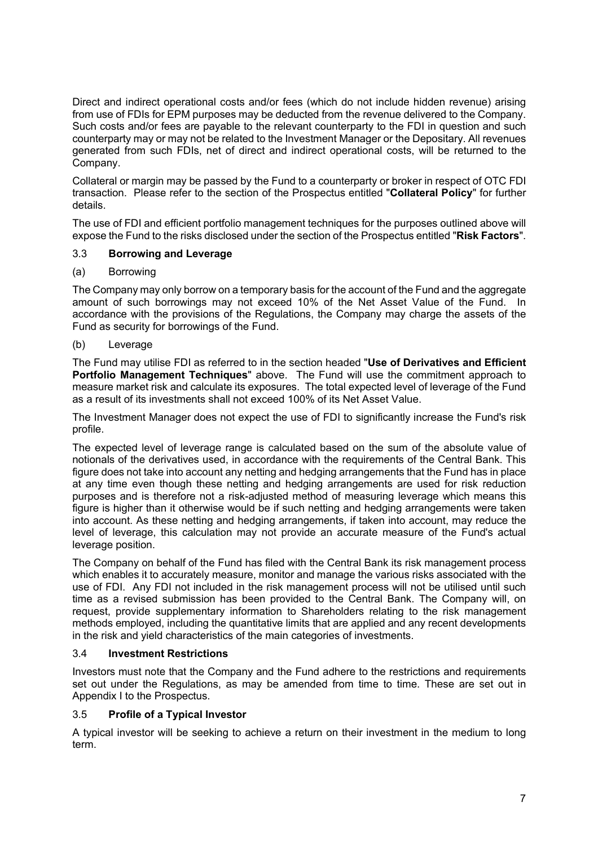Direct and indirect operational costs and/or fees (which do not include hidden revenue) arising from use of FDIs for EPM purposes may be deducted from the revenue delivered to the Company. Such costs and/or fees are payable to the relevant counterparty to the FDI in question and such counterparty may or may not be related to the Investment Manager or the Depositary. All revenues generated from such FDIs, net of direct and indirect operational costs, will be returned to the Company.

Collateral or margin may be passed by the Fund to a counterparty or broker in respect of OTC FDI transaction. Please refer to the section of the Prospectus entitled "**Collateral Policy**" for further details.

The use of FDI and efficient portfolio management techniques for the purposes outlined above will expose the Fund to the risks disclosed under the section of the Prospectus entitled "**Risk Factors**".

## 3.3 **Borrowing and Leverage**

## (a) Borrowing

The Company may only borrow on a temporary basis for the account of the Fund and the aggregate amount of such borrowings may not exceed 10% of the Net Asset Value of the Fund. In accordance with the provisions of the Regulations, the Company may charge the assets of the Fund as security for borrowings of the Fund.

## (b) Leverage

The Fund may utilise FDI as referred to in the section headed "**Use of Derivatives and Efficient Portfolio Management Techniques**" above. The Fund will use the commitment approach to measure market risk and calculate its exposures. The total expected level of leverage of the Fund as a result of its investments shall not exceed 100% of its Net Asset Value.

The Investment Manager does not expect the use of FDI to significantly increase the Fund's risk profile.

The expected level of leverage range is calculated based on the sum of the absolute value of notionals of the derivatives used, in accordance with the requirements of the Central Bank. This figure does not take into account any netting and hedging arrangements that the Fund has in place at any time even though these netting and hedging arrangements are used for risk reduction purposes and is therefore not a risk-adjusted method of measuring leverage which means this figure is higher than it otherwise would be if such netting and hedging arrangements were taken into account. As these netting and hedging arrangements, if taken into account, may reduce the level of leverage, this calculation may not provide an accurate measure of the Fund's actual leverage position.

The Company on behalf of the Fund has filed with the Central Bank its risk management process which enables it to accurately measure, monitor and manage the various risks associated with the use of FDI. Any FDI not included in the risk management process will not be utilised until such time as a revised submission has been provided to the Central Bank. The Company will, on request, provide supplementary information to Shareholders relating to the risk management methods employed, including the quantitative limits that are applied and any recent developments in the risk and yield characteristics of the main categories of investments.

### 3.4 **Investment Restrictions**

Investors must note that the Company and the Fund adhere to the restrictions and requirements set out under the Regulations, as may be amended from time to time. These are set out in Appendix I to the Prospectus.

# 3.5 **Profile of a Typical Investor**

A typical investor will be seeking to achieve a return on their investment in the medium to long term.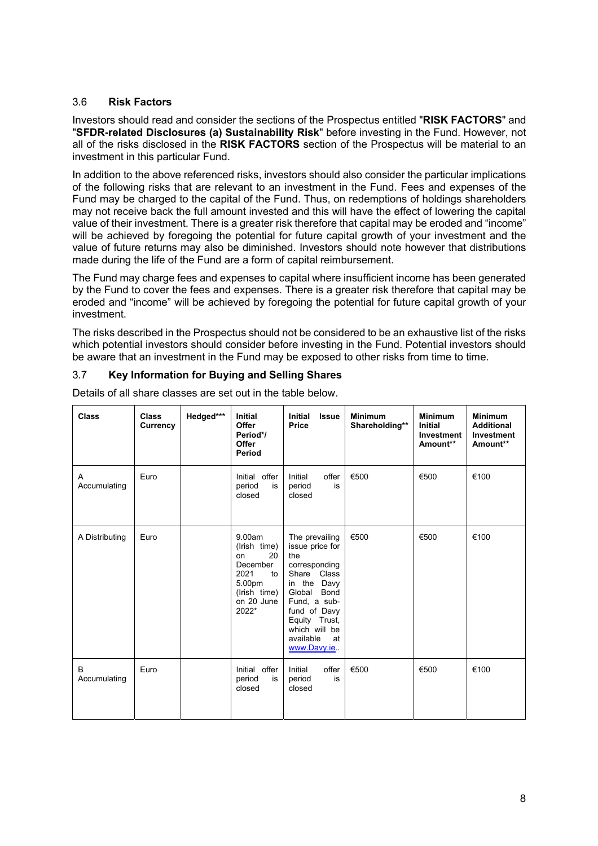# 3.6 **Risk Factors**

Investors should read and consider the sections of the Prospectus entitled "**RISK FACTORS**" and "**SFDR-related Disclosures (a) Sustainability Risk**" before investing in the Fund. However, not all of the risks disclosed in the **RISK FACTORS** section of the Prospectus will be material to an investment in this particular Fund.

In addition to the above referenced risks, investors should also consider the particular implications of the following risks that are relevant to an investment in the Fund. Fees and expenses of the Fund may be charged to the capital of the Fund. Thus, on redemptions of holdings shareholders may not receive back the full amount invested and this will have the effect of lowering the capital value of their investment. There is a greater risk therefore that capital may be eroded and "income" will be achieved by foregoing the potential for future capital growth of your investment and the value of future returns may also be diminished. Investors should note however that distributions made during the life of the Fund are a form of capital reimbursement.

The Fund may charge fees and expenses to capital where insufficient income has been generated by the Fund to cover the fees and expenses. There is a greater risk therefore that capital may be eroded and "income" will be achieved by foregoing the potential for future capital growth of your investment.

The risks described in the Prospectus should not be considered to be an exhaustive list of the risks which potential investors should consider before investing in the Fund. Potential investors should be aware that an investment in the Fund may be exposed to other risks from time to time.

## 3.7 **Key Information for Buying and Selling Shares**

| <b>Class</b>      | <b>Class</b><br>Currency | Hedged*** | <b>Initial</b><br>Offer<br>Period*/<br><b>Offer</b><br>Period                                                 | <b>Initial</b><br><b>Issue</b><br>Price                                                                                                                                                                           | <b>Minimum</b><br>Shareholding** | <b>Minimum</b><br><b>Initial</b><br>Investment<br>Amount** | <b>Minimum</b><br><b>Additional</b><br><b>Investment</b><br>Amount** |
|-------------------|--------------------------|-----------|---------------------------------------------------------------------------------------------------------------|-------------------------------------------------------------------------------------------------------------------------------------------------------------------------------------------------------------------|----------------------------------|------------------------------------------------------------|----------------------------------------------------------------------|
| Α<br>Accumulating | Euro                     |           | Initial offer<br>period<br>is<br>closed                                                                       | Initial<br>offer<br>is<br>period<br>closed                                                                                                                                                                        | €500                             | €500                                                       | €100                                                                 |
| A Distributing    | Euro                     |           | 9.00am<br>(Irish time)<br>20<br>on<br>December<br>2021<br>to<br>5.00pm<br>(Irish time)<br>on 20 June<br>2022* | The prevailing<br>issue price for<br>the<br>corresponding<br>Share Class<br>in the<br>Davy<br>Global<br>Bond<br>Fund, a sub-<br>fund of Davy<br>Equity Trust,<br>which will be<br>available<br>at<br>www.Davy.ie. | €500                             | €500                                                       | €100                                                                 |
| B<br>Accumulating | Euro                     |           | Initial offer<br>period<br>is<br>closed                                                                       | Initial<br>offer<br>is<br>period<br>closed                                                                                                                                                                        | €500                             | €500                                                       | €100                                                                 |

Details of all share classes are set out in the table below.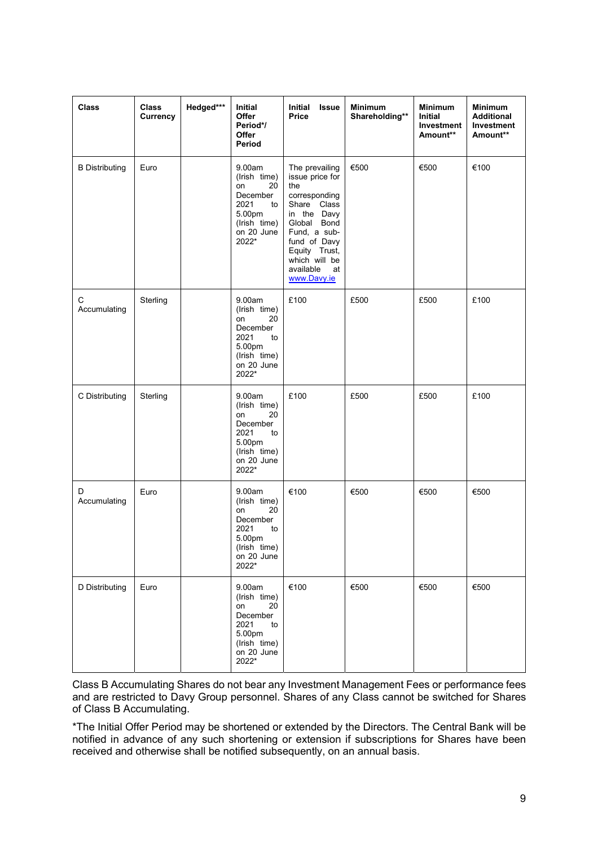| <b>Class</b>          | <b>Class</b><br>Currency | Hedged*** | Initial<br>Offer<br>Period*/<br>Offer<br>Period                                                               | Initial<br><b>Issue</b><br>Price                                                                                                                                                                           | <b>Minimum</b><br>Shareholding** | <b>Minimum</b><br>Initial<br>Investment<br>Amount** | <b>Minimum</b><br><b>Additional</b><br>Investment<br>Amount** |
|-----------------------|--------------------------|-----------|---------------------------------------------------------------------------------------------------------------|------------------------------------------------------------------------------------------------------------------------------------------------------------------------------------------------------------|----------------------------------|-----------------------------------------------------|---------------------------------------------------------------|
| <b>B</b> Distributing | Euro                     |           | 9.00am<br>(Irish time)<br>20<br>on<br>December<br>2021<br>to<br>5.00pm<br>(Irish time)<br>on 20 June<br>2022* | The prevailing<br>issue price for<br>the<br>corresponding<br>Share Class<br>in the Davy<br>Global Bond<br>Fund, a sub-<br>fund of Davy<br>Equity Trust,<br>which will be<br>available<br>at<br>www.Davy.ie | €500                             | €500                                                | €100                                                          |
| С<br>Accumulating     | Sterling                 |           | 9.00am<br>(Irish time)<br>20<br>on<br>December<br>2021<br>to<br>5.00pm<br>(Irish time)<br>on 20 June<br>2022* | £100                                                                                                                                                                                                       | £500                             | £500                                                | £100                                                          |
| C Distributing        | Sterling                 |           | 9.00am<br>(Irish time)<br>20<br>on<br>December<br>2021<br>to<br>5.00pm<br>(Irish time)<br>on 20 June<br>2022* | £100                                                                                                                                                                                                       | £500                             | £500                                                | £100                                                          |
| D<br>Accumulating     | Euro                     |           | 9.00am<br>(Irish time)<br>on<br>20<br>December<br>2021<br>to<br>5.00pm<br>(Irish time)<br>on 20 June<br>2022* | €100                                                                                                                                                                                                       | €500                             | €500                                                | €500                                                          |
| D Distributing        | Euro                     |           | 9.00am<br>(Irish time)<br>20<br>on<br>December<br>2021<br>to<br>5.00pm<br>(Irish time)<br>on 20 June<br>2022* | €100                                                                                                                                                                                                       | €500                             | €500                                                | €500                                                          |

Class B Accumulating Shares do not bear any Investment Management Fees or performance fees and are restricted to Davy Group personnel. Shares of any Class cannot be switched for Shares of Class B Accumulating.

\*The Initial Offer Period may be shortened or extended by the Directors. The Central Bank will be notified in advance of any such shortening or extension if subscriptions for Shares have been received and otherwise shall be notified subsequently, on an annual basis.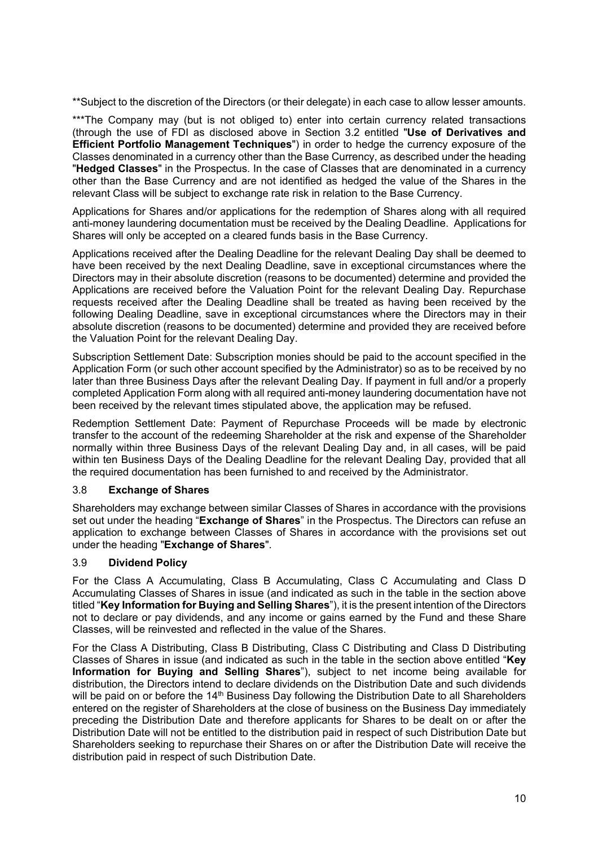\*\*Subject to the discretion of the Directors (or their delegate) in each case to allow lesser amounts.

\*\*\*The Company may (but is not obliged to) enter into certain currency related transactions (through the use of FDI as disclosed above in Section 3.2 entitled "**Use of Derivatives and Efficient Portfolio Management Techniques**") in order to hedge the currency exposure of the Classes denominated in a currency other than the Base Currency, as described under the heading "**Hedged Classes**" in the Prospectus. In the case of Classes that are denominated in a currency other than the Base Currency and are not identified as hedged the value of the Shares in the relevant Class will be subject to exchange rate risk in relation to the Base Currency.

Applications for Shares and/or applications for the redemption of Shares along with all required anti-money laundering documentation must be received by the Dealing Deadline. Applications for Shares will only be accepted on a cleared funds basis in the Base Currency.

Applications received after the Dealing Deadline for the relevant Dealing Day shall be deemed to have been received by the next Dealing Deadline, save in exceptional circumstances where the Directors may in their absolute discretion (reasons to be documented) determine and provided the Applications are received before the Valuation Point for the relevant Dealing Day. Repurchase requests received after the Dealing Deadline shall be treated as having been received by the following Dealing Deadline, save in exceptional circumstances where the Directors may in their absolute discretion (reasons to be documented) determine and provided they are received before the Valuation Point for the relevant Dealing Day.

Subscription Settlement Date: Subscription monies should be paid to the account specified in the Application Form (or such other account specified by the Administrator) so as to be received by no later than three Business Days after the relevant Dealing Day. If payment in full and/or a properly completed Application Form along with all required anti-money laundering documentation have not been received by the relevant times stipulated above, the application may be refused.

Redemption Settlement Date: Payment of Repurchase Proceeds will be made by electronic transfer to the account of the redeeming Shareholder at the risk and expense of the Shareholder normally within three Business Days of the relevant Dealing Day and, in all cases, will be paid within ten Business Days of the Dealing Deadline for the relevant Dealing Day, provided that all the required documentation has been furnished to and received by the Administrator.

### 3.8 **Exchange of Shares**

Shareholders may exchange between similar Classes of Shares in accordance with the provisions set out under the heading "**Exchange of Shares**" in the Prospectus. The Directors can refuse an application to exchange between Classes of Shares in accordance with the provisions set out under the heading "**Exchange of Shares**".

### 3.9 **Dividend Policy**

For the Class A Accumulating, Class B Accumulating, Class C Accumulating and Class D Accumulating Classes of Shares in issue (and indicated as such in the table in the section above titled "**Key Information for Buying and Selling Shares**"), it is the present intention of the Directors not to declare or pay dividends, and any income or gains earned by the Fund and these Share Classes, will be reinvested and reflected in the value of the Shares.

For the Class A Distributing, Class B Distributing, Class C Distributing and Class D Distributing Classes of Shares in issue (and indicated as such in the table in the section above entitled "**Key Information for Buying and Selling Shares**"), subject to net income being available for distribution, the Directors intend to declare dividends on the Distribution Date and such dividends will be paid on or before the 14<sup>th</sup> Business Day following the Distribution Date to all Shareholders entered on the register of Shareholders at the close of business on the Business Day immediately preceding the Distribution Date and therefore applicants for Shares to be dealt on or after the Distribution Date will not be entitled to the distribution paid in respect of such Distribution Date but Shareholders seeking to repurchase their Shares on or after the Distribution Date will receive the distribution paid in respect of such Distribution Date.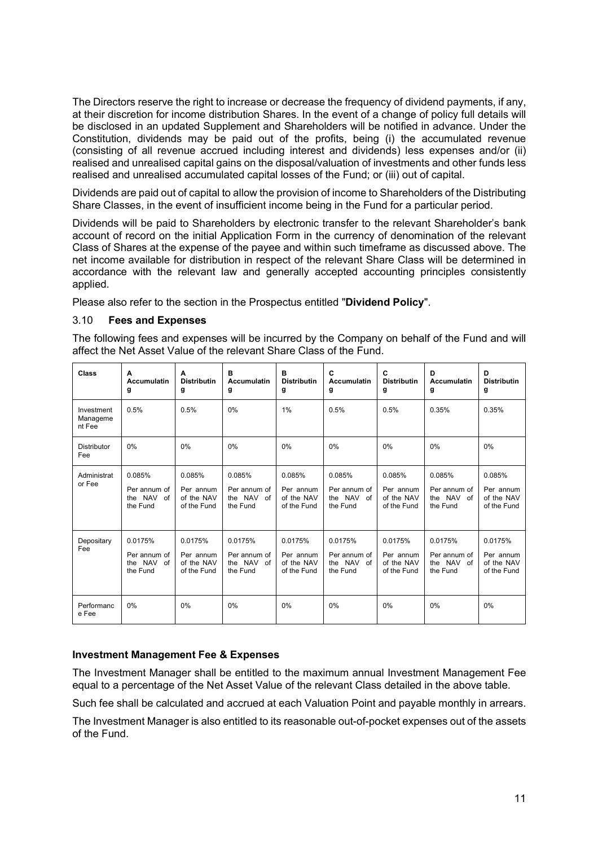The Directors reserve the right to increase or decrease the frequency of dividend payments, if any, at their discretion for income distribution Shares. In the event of a change of policy full details will be disclosed in an updated Supplement and Shareholders will be notified in advance. Under the Constitution, dividends may be paid out of the profits, being (i) the accumulated revenue (consisting of all revenue accrued including interest and dividends) less expenses and/or (ii) realised and unrealised capital gains on the disposal/valuation of investments and other funds less realised and unrealised accumulated capital losses of the Fund; or (iii) out of capital.

Dividends are paid out of capital to allow the provision of income to Shareholders of the Distributing Share Classes, in the event of insufficient income being in the Fund for a particular period.

Dividends will be paid to Shareholders by electronic transfer to the relevant Shareholder's bank account of record on the initial Application Form in the currency of denomination of the relevant Class of Shares at the expense of the payee and within such timeframe as discussed above. The net income available for distribution in respect of the relevant Share Class will be determined in accordance with the relevant law and generally accepted accounting principles consistently applied.

Please also refer to the section in the Prospectus entitled "**Dividend Policy**".

## 3.10 **Fees and Expenses**

The following fees and expenses will be incurred by the Company on behalf of the Fund and will affect the Net Asset Value of the relevant Share Class of the Fund.

| <b>Class</b>                     | A<br><b>Accumulatin</b><br>g                         | A<br><b>Distributin</b><br>g                      | B<br><b>Accumulatin</b><br>g                      | в<br><b>Distributin</b><br>g                      | C<br><b>Accumulatin</b><br>g                      | C<br><b>Distributin</b><br>g                      | D<br><b>Accumulatin</b><br>g                      | D<br><b>Distributin</b><br>g                      |
|----------------------------------|------------------------------------------------------|---------------------------------------------------|---------------------------------------------------|---------------------------------------------------|---------------------------------------------------|---------------------------------------------------|---------------------------------------------------|---------------------------------------------------|
| Investment<br>Manageme<br>nt Fee | 0.5%                                                 | 0.5%                                              | 0%                                                | 1%                                                | 0.5%                                              | 0.5%                                              | 0.35%                                             | 0.35%                                             |
| <b>Distributor</b><br>Fee        | 0%                                                   | 0%                                                | 0%                                                | 0%                                                | 0%                                                | 0%                                                | 0%                                                | 0%                                                |
| Administrat<br>or Fee            | 0.085%<br>Per annum of<br>the NAV<br>of<br>the Fund  | 0.085%<br>Per annum<br>of the NAV<br>of the Fund  | 0.085%<br>Per annum of<br>the NAV of<br>the Fund  | 0.085%<br>Per annum<br>of the NAV<br>of the Fund  | 0.085%<br>Per annum of<br>the NAV of<br>the Fund  | 0.085%<br>Per annum<br>of the NAV<br>of the Fund  | 0.085%<br>Per annum of<br>the NAV of<br>the Fund  | 0.085%<br>Per annum<br>of the NAV<br>of the Fund  |
| Depositary<br>Fee                | 0.0175%<br>Per annum of<br>the NAV<br>of<br>the Fund | 0.0175%<br>Per annum<br>of the NAV<br>of the Fund | 0.0175%<br>Per annum of<br>the NAV of<br>the Fund | 0.0175%<br>Per annum<br>of the NAV<br>of the Fund | 0.0175%<br>Per annum of<br>the NAV of<br>the Fund | 0.0175%<br>Per annum<br>of the NAV<br>of the Fund | 0.0175%<br>Per annum of<br>the NAV of<br>the Fund | 0.0175%<br>Per annum<br>of the NAV<br>of the Fund |
| Performanc<br>e Fee              | 0%                                                   | 0%                                                | 0%                                                | 0%                                                | 0%                                                | 0%                                                | 0%                                                | 0%                                                |

### **Investment Management Fee & Expenses**

The Investment Manager shall be entitled to the maximum annual Investment Management Fee equal to a percentage of the Net Asset Value of the relevant Class detailed in the above table.

Such fee shall be calculated and accrued at each Valuation Point and payable monthly in arrears.

The Investment Manager is also entitled to its reasonable out-of-pocket expenses out of the assets of the Fund.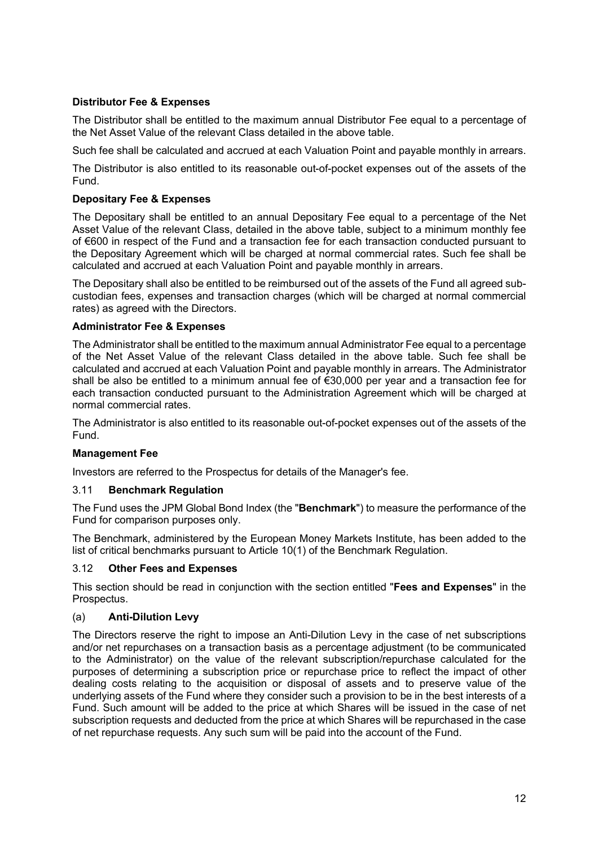# **Distributor Fee & Expenses**

The Distributor shall be entitled to the maximum annual Distributor Fee equal to a percentage of the Net Asset Value of the relevant Class detailed in the above table.

Such fee shall be calculated and accrued at each Valuation Point and payable monthly in arrears.

The Distributor is also entitled to its reasonable out-of-pocket expenses out of the assets of the Fund.

### **Depositary Fee & Expenses**

The Depositary shall be entitled to an annual Depositary Fee equal to a percentage of the Net Asset Value of the relevant Class, detailed in the above table, subject to a minimum monthly fee of €600 in respect of the Fund and a transaction fee for each transaction conducted pursuant to the Depositary Agreement which will be charged at normal commercial rates. Such fee shall be calculated and accrued at each Valuation Point and payable monthly in arrears.

The Depositary shall also be entitled to be reimbursed out of the assets of the Fund all agreed subcustodian fees, expenses and transaction charges (which will be charged at normal commercial rates) as agreed with the Directors.

### **Administrator Fee & Expenses**

The Administrator shall be entitled to the maximum annual Administrator Fee equal to a percentage of the Net Asset Value of the relevant Class detailed in the above table. Such fee shall be calculated and accrued at each Valuation Point and payable monthly in arrears. The Administrator shall be also be entitled to a minimum annual fee of €30,000 per year and a transaction fee for each transaction conducted pursuant to the Administration Agreement which will be charged at normal commercial rates.

The Administrator is also entitled to its reasonable out-of-pocket expenses out of the assets of the Fund.

### **Management Fee**

Investors are referred to the Prospectus for details of the Manager's fee.

### 3.11 **Benchmark Regulation**

The Fund uses the JPM Global Bond Index (the "**Benchmark**") to measure the performance of the Fund for comparison purposes only.

The Benchmark, administered by the European Money Markets Institute, has been added to the list of critical benchmarks pursuant to Article 10(1) of the Benchmark Regulation.

### 3.12 **Other Fees and Expenses**

This section should be read in conjunction with the section entitled "**Fees and Expenses**" in the Prospectus.

### (a) **Anti-Dilution Levy**

The Directors reserve the right to impose an Anti-Dilution Levy in the case of net subscriptions and/or net repurchases on a transaction basis as a percentage adjustment (to be communicated to the Administrator) on the value of the relevant subscription/repurchase calculated for the purposes of determining a subscription price or repurchase price to reflect the impact of other dealing costs relating to the acquisition or disposal of assets and to preserve value of the underlying assets of the Fund where they consider such a provision to be in the best interests of a Fund. Such amount will be added to the price at which Shares will be issued in the case of net subscription requests and deducted from the price at which Shares will be repurchased in the case of net repurchase requests. Any such sum will be paid into the account of the Fund.